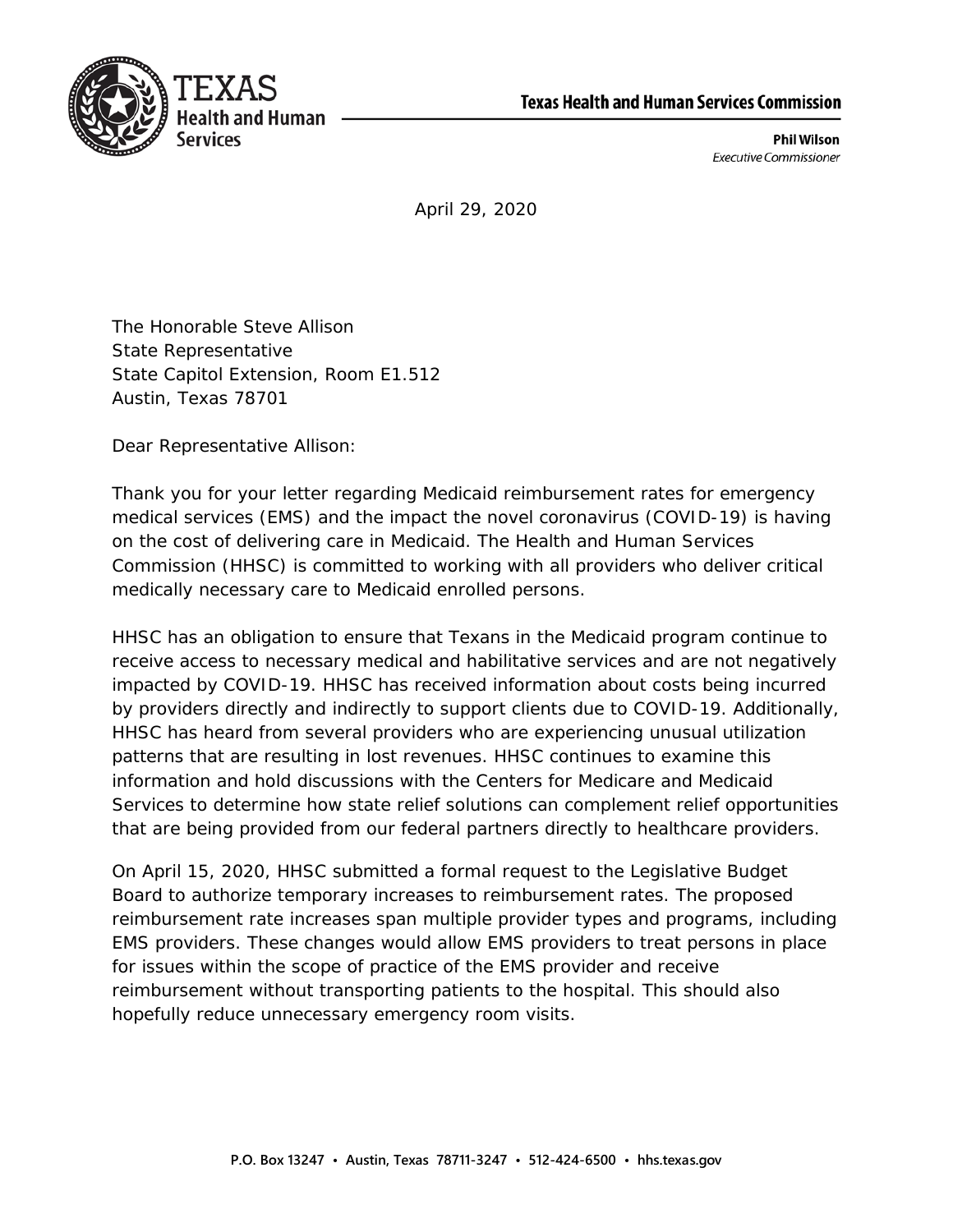



**Phil Wilson Executive Commissioner** 

April 29, 2020

The Honorable Steve Allison State Representative State Capitol Extension, Room E1.512 Austin, Texas 78701

Dear Representative Allison:

Thank you for your letter regarding Medicaid reimbursement rates for emergency medical services (EMS) and the impact the novel coronavirus (COVID-19) is having on the cost of delivering care in Medicaid. The Health and Human Services Commission (HHSC) is committed to working with all providers who deliver critical medically necessary care to Medicaid enrolled persons.

HHSC has an obligation to ensure that Texans in the Medicaid program continue to receive access to necessary medical and habilitative services and are not negatively impacted by COVID-19. HHSC has received information about costs being incurred by providers directly and indirectly to support clients due to COVID-19. Additionally, HHSC has heard from several providers who are experiencing unusual utilization patterns that are resulting in lost revenues. HHSC continues to examine this information and hold discussions with the Centers for Medicare and Medicaid Services to determine how state relief solutions can complement relief opportunities that are being provided from our federal partners directly to healthcare providers.

On April 15, 2020, HHSC submitted a formal request to the Legislative Budget Board to authorize temporary increases to reimbursement rates. The proposed reimbursement rate increases span multiple provider types and programs, including EMS providers. These changes would allow EMS providers to treat persons in place for issues within the scope of practice of the EMS provider and receive reimbursement without transporting patients to the hospital. This should also hopefully reduce unnecessary emergency room visits.